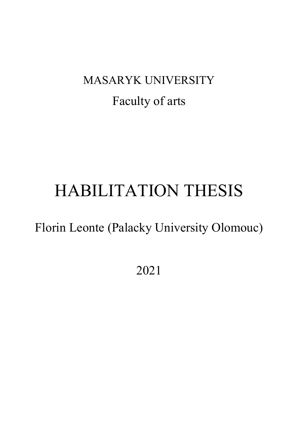## MASARYK UNIVERSITY Faculty of arts

# HABILITATION THESIS

Florin Leonte (Palacky University Olomouc)

2021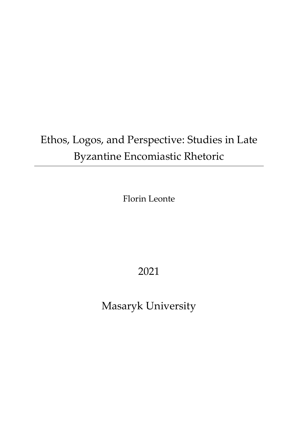## Ethos, Logos, and Perspective: Studies in Late Byzantine Encomiastic Rhetoric

Florin Leonte

### 2021

Masaryk University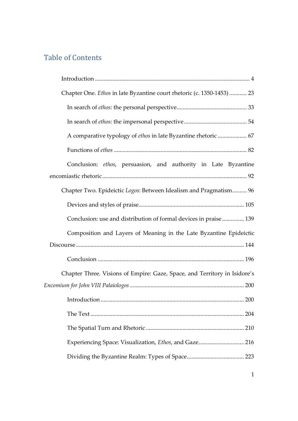#### Table of Contents

| Chapter One. Ethos in late Byzantine court rhetoric (c. 1350-1453)  23    |
|---------------------------------------------------------------------------|
|                                                                           |
|                                                                           |
| A comparative typology of ethos in late Byzantine rhetoric  67            |
|                                                                           |
| Conclusion: ethos, persuasion, and authority in Late Byzantine            |
|                                                                           |
| Chapter Two. Epideictic Logos: Between Idealism and Pragmatism 96         |
|                                                                           |
| Conclusion: use and distribution of formal devices in praise 139          |
| Composition and Layers of Meaning in the Late Byzantine Epideictic        |
|                                                                           |
|                                                                           |
| Chapter Three. Visions of Empire: Gaze, Space, and Territory in Isidore's |
|                                                                           |
|                                                                           |
|                                                                           |
|                                                                           |
|                                                                           |
|                                                                           |